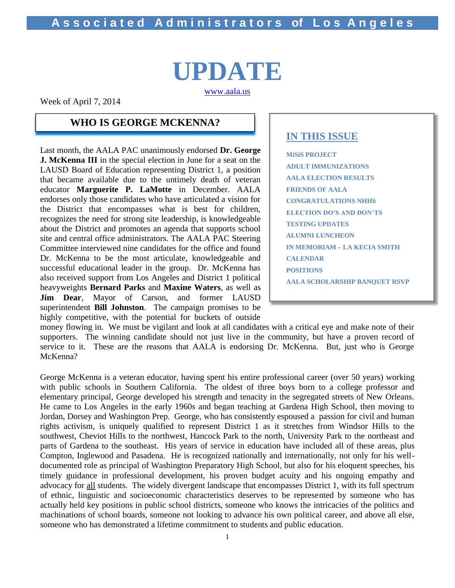# **UPDATE** [www.aala.us](http://www.aala.us/)

Week of April 7, 2014

### **WHO IS GEORGE MCKENNA?**

Last month, the AALA PAC unanimously endorsed **Dr. George J. McKenna III** in the special election in June for a seat on the LAUSD Board of Education representing District 1, a position that became available due to the untimely death of veteran educator **Marguerite P. LaMotte** in December. AALA endorses only those candidates who have articulated a vision for the District that encompasses what is best for children, recognizes the need for strong site leadership, is knowledgeable about the District and promotes an agenda that supports school site and central office administrators. The AALA PAC Steering Committee interviewed nine candidates for the office and found Dr. McKenna to be the most articulate, knowledgeable and successful educational leader in the group. Dr. McKenna has also received support from Los Angeles and District 1 political heavyweights **Bernard Parks** and **Maxine Waters**, as well as **Jim Dear**, Mayor of Carson, and former LAUSD superintendent **Bill Johnston**. The campaign promises to be highly competitive, with the potential for buckets of outside

### **IN THIS ISSUE**

**MiSiS PROJECT ADULT IMMUNIZATIONS AALA ELECTION RESULTS FRIENDS OF AALA CONGRATULATIONS NHHS ELECTION DO'S AND DON'TS TESTING UPDATES ALUMNI LUNCHEON IN MEMORIAM – LA KECIA SMITH CALENDAR POSITIONS AALA SCHOLARSHIP BANQUET RSVP**

money flowing in. We must be vigilant and look at all candidates with a critical eye and make note of their supporters. The winning candidate should not just live in the community, but have a proven record of service to it. These are the reasons that AALA is endorsing Dr. McKenna. But, just who is George McKenna?

George McKenna is a veteran educator, having spent his entire professional career (over 50 years) working with public schools in Southern California. The oldest of three boys born to a college professor and elementary principal, George developed his strength and tenacity in the segregated streets of New Orleans. He came to Los Angeles in the early 1960s and began teaching at Gardena High School, then moving to Jordan, Dorsey and Washington Prep. George, who has consistently espoused a passion for civil and human rights activism, is uniquely qualified to represent District 1 as it stretches from Windsor Hills to the southwest, Cheviot Hills to the northwest, Hancock Park to the north, University Park to the northeast and parts of Gardena to the southeast. His years of service in education have included all of these areas, plus Compton, Inglewood and Pasadena. He is recognized nationally and internationally, not only for his welldocumented role as principal of Washington Preparatory High School, but also for his eloquent speeches, his timely guidance in professional development, his proven budget acuity and his ongoing empathy and advocacy for all students. The widely divergent landscape that encompasses District 1, with its full spectrum of ethnic, linguistic and socioeconomic characteristics deserves to be represented by someone who has actually held key positions in public school districts, someone who knows the intricacies of the politics and machinations of school boards, someone not looking to advance his own political career, and above all else, someone who has demonstrated a lifetime commitment to students and public education.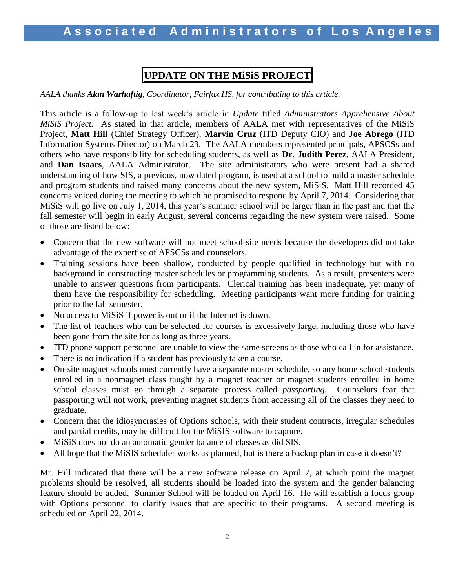# **UPDATE ON THE MiSiS PROJECT**

*AALA thanks Alan Warhaftig, Coordinator, Fairfax HS, for contributing to this article.*

This article is a follow-up to last week's article in *Update* titled *Administrators Apprehensive About MiSiS Project.* As stated in that article, members of AALA met with representatives of the MiSiS Project, **Matt Hill** (Chief Strategy Officer), **Marvin Cruz** (ITD Deputy CIO) and **Joe Abrego** (ITD Information Systems Director) on March 23. The AALA members represented principals, APSCSs and others who have responsibility for scheduling students, as well as **Dr. Judith Perez**, AALA President, and **Dan Isaacs**, AALA Administrator. The site administrators who were present had a shared understanding of how SIS, a previous, now dated program, is used at a school to build a master schedule and program students and raised many concerns about the new system, MiSiS. Matt Hill recorded 45 concerns voiced during the meeting to which he promised to respond by April 7, 2014. Considering that MiSiS will go live on July 1, 2014, this year's summer school will be larger than in the past and that the fall semester will begin in early August, several concerns regarding the new system were raised. Some of those are listed below:

- Concern that the new software will not meet school-site needs because the developers did not take advantage of the expertise of APSCSs and counselors.
- Training sessions have been shallow, conducted by people qualified in technology but with no background in constructing master schedules or programming students. As a result, presenters were unable to answer questions from participants. Clerical training has been inadequate, yet many of them have the responsibility for scheduling. Meeting participants want more funding for training prior to the fall semester.
- No access to MiSiS if power is out or if the Internet is down.
- The list of teachers who can be selected for courses is excessively large, including those who have been gone from the site for as long as three years.
- ITD phone support personnel are unable to view the same screens as those who call in for assistance.
- There is no indication if a student has previously taken a course.
- On-site magnet schools must currently have a separate master schedule, so any home school students enrolled in a nonmagnet class taught by a magnet teacher or magnet students enrolled in home school classes must go through a separate process called *passporting.* Counselors fear that passporting will not work, preventing magnet students from accessing all of the classes they need to graduate.
- Concern that the idiosyncrasies of Options schools, with their student contracts, irregular schedules and partial credits, may be difficult for the MiSIS software to capture.
- MiSiS does not do an automatic gender balance of classes as did SIS.
- All hope that the MiSIS scheduler works as planned, but is there a backup plan in case it doesn't?

Mr. Hill indicated that there will be a new software release on April 7, at which point the magnet problems should be resolved, all students should be loaded into the system and the gender balancing feature should be added. Summer School will be loaded on April 16. He will establish a focus group with Options personnel to clarify issues that are specific to their programs. A second meeting is scheduled on April 22, 2014.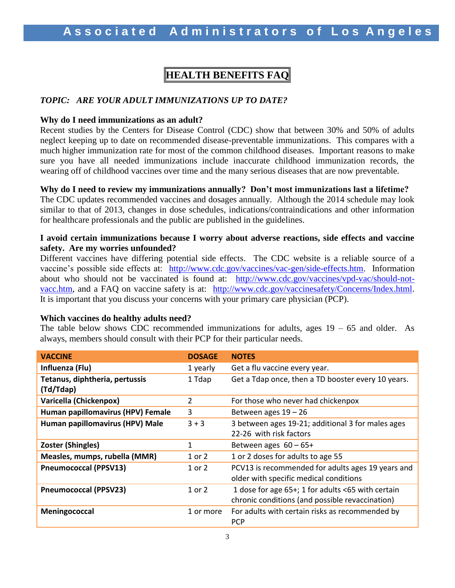# **HEALTH BENEFITS FAQ**

#### *TOPIC: ARE YOUR ADULT IMMUNIZATIONS UP TO DATE?*

#### **Why do I need immunizations as an adult?**

Recent studies by the Centers for Disease Control (CDC) show that between 30% and 50% of adults neglect keeping up to date on recommended disease-preventable immunizations. This compares with a much higher immunization rate for most of the common childhood diseases. Important reasons to make sure you have all needed immunizations include inaccurate childhood immunization records, the wearing off of childhood vaccines over time and the many serious diseases that are now preventable.

#### **Why do I need to review my immunizations annually? Don't most immunizations last a lifetime?**

The CDC updates recommended vaccines and dosages annually. Although the 2014 schedule may look similar to that of 2013, changes in dose schedules, indications/contraindications and other information for healthcare professionals and the public are published in the guidelines.

#### **I avoid certain immunizations because I worry about adverse reactions, side effects and vaccine safety. Are my worries unfounded?**

Different vaccines have differing potential side effects. The CDC website is a reliable source of a vaccine's possible side effects at: [http://www.cdc.gov/vaccines/vac-gen/side-effects.htm.](http://www.cdc.gov/vaccines/vac-gen/side-effects.htm) Information about who should not be vaccinated is found at: [http://www.cdc.gov/vaccines/vpd-vac/should-not](http://www.cdc.gov/vaccines/vpd-vac/should-not-vacc.htm)[vacc.htm,](http://www.cdc.gov/vaccines/vpd-vac/should-not-vacc.htm) and a FAQ on vaccine safety is at: [http://www.cdc.gov/vaccinesafety/Concerns/Index.html.](http://www.cdc.gov/vaccinesafety/Concerns/Index.html) It is important that you discuss your concerns with your primary care physician (PCP).

#### **Which vaccines do healthy adults need?**

The table below shows CDC recommended immunizations for adults, ages  $19 - 65$  and older. As always, members should consult with their PCP for their particular needs.

| <b>VACCINE</b>                    | <b>DOSAGE</b> | <b>NOTES</b>                                       |
|-----------------------------------|---------------|----------------------------------------------------|
| Influenza (Flu)                   | 1 yearly      | Get a flu vaccine every year.                      |
| Tetanus, diphtheria, pertussis    | 1 Tdap        | Get a Tdap once, then a TD booster every 10 years. |
| (Td/Tdap)                         |               |                                                    |
| Varicella (Chickenpox)            | 2             | For those who never had chickenpox                 |
| Human papillomavirus (HPV) Female | 3             | Between ages $19 - 26$                             |
| Human papillomavirus (HPV) Male   | $3 + 3$       | 3 between ages 19-21; additional 3 for males ages  |
|                                   |               | 22-26 with risk factors                            |
| <b>Zoster (Shingles)</b>          | 1             | Between ages $60 - 65+$                            |
| Measles, mumps, rubella (MMR)     | 1 or 2        | 1 or 2 doses for adults to age 55                  |
| <b>Pneumococcal (PPSV13)</b>      | 1 or 2        | PCV13 is recommended for adults ages 19 years and  |
|                                   |               | older with specific medical conditions             |
| <b>Pneumococcal (PPSV23)</b>      | 1 or 2        | 1 dose for age 65+; 1 for adults <65 with certain  |
|                                   |               | chronic conditions (and possible revaccination)    |
| Meningococcal                     | 1 or more     | For adults with certain risks as recommended by    |
|                                   |               | <b>PCP</b>                                         |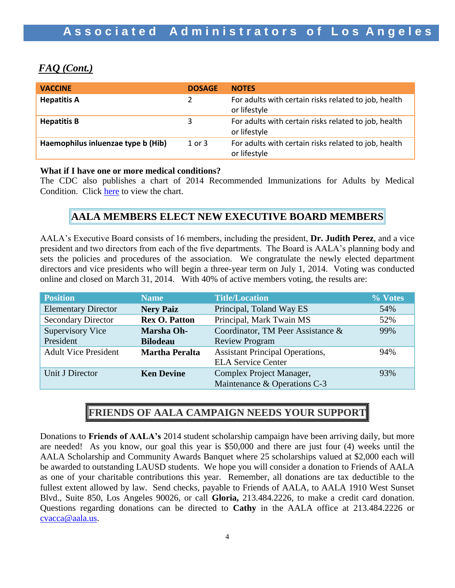# *FAQ (Cont.)*

| <b>VACCINE</b>                     | <b>DOSAGE</b> | <b>NOTES</b>                                                         |
|------------------------------------|---------------|----------------------------------------------------------------------|
| <b>Hepatitis A</b>                 | 2             | For adults with certain risks related to job, health<br>or lifestyle |
| <b>Hepatitis B</b>                 | 3             | For adults with certain risks related to job, health<br>or lifestyle |
| Haemophilus inluenzae type b (Hib) | $1$ or $3$    | For adults with certain risks related to job, health<br>or lifestyle |

#### **What if I have one or more medical conditions?**

The CDC also publishes a chart of 2014 Recommended Immunizations for Adults by Medical Condition. Click [here](http://www.cdc.gov/vaccines/schedules/downloads/adult/adult-schedule-easy-read.pdf) to view the chart.

### **AALA MEMBERS ELECT NEW EXECUTIVE BOARD MEMBERS**

AALA's Executive Board consists of 16 members, including the president, **Dr. Judith Perez**, and a vice president and two directors from each of the five departments. The Board is AALA's planning body and sets the policies and procedures of the association. We congratulate the newly elected department directors and vice presidents who will begin a three-year term on July 1, 2014. Voting was conducted online and closed on March 31, 2014. With 40% of active members voting, the results are:

| <b>Position</b>             | <b>Name</b>           | <b>Title/Location</b>                  | % Votes |
|-----------------------------|-----------------------|----------------------------------------|---------|
| <b>Elementary Director</b>  | <b>Nery Paiz</b>      | Principal, Toland Way ES               | 54%     |
| <b>Secondary Director</b>   | <b>Rex O. Patton</b>  | Principal, Mark Twain MS               | 52%     |
| <b>Supervisory Vice</b>     | Marsha Oh-            | Coordinator, TM Peer Assistance &      | 99%     |
| President                   | <b>Bilodeau</b>       | <b>Review Program</b>                  |         |
| <b>Adult Vice President</b> | <b>Martha Peralta</b> | <b>Assistant Principal Operations,</b> | 94%     |
|                             |                       | <b>ELA Service Center</b>              |         |
| Unit J Director             | <b>Ken Devine</b>     | Complex Project Manager,               | 93%     |
|                             |                       | Maintenance & Operations C-3           |         |

# **FRIENDS OF AALA CAMPAIGN NEEDS YOUR SUPPORT**

Donations to **Friends of AALA's** 2014 student scholarship campaign have been arriving daily, but more are needed! As you know, our goal this year is \$50,000 and there are just four (4) weeks until the AALA Scholarship and Community Awards Banquet where 25 scholarships valued at \$2,000 each will be awarded to outstanding LAUSD students. We hope you will consider a donation to Friends of AALA as one of your charitable contributions this year. Remember, all donations are tax deductible to the fullest extent allowed by law. Send checks, payable to Friends of AALA, to AALA 1910 West Sunset Blvd., Suite 850, Los Angeles 90026, or call **Gloria,** 213.484.2226, to make a credit card donation. Questions regarding donations can be directed to **Cathy** in the AALA office at 213.484.2226 or [cvacca@aala.us.](mailto:cvacca@aala.us)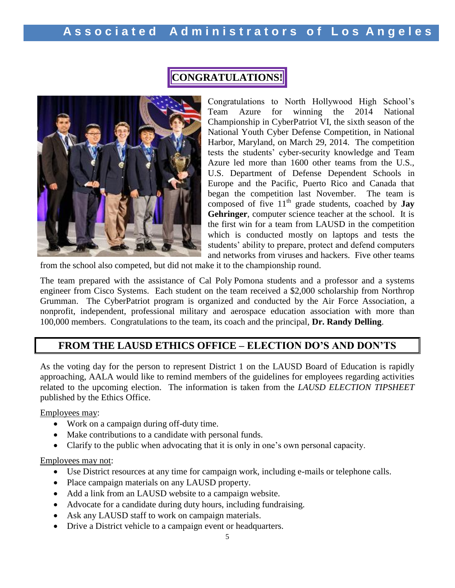

# **CONGRATULATIONS!**

Congratulations to North Hollywood High School's Team Azure for winning the 2014 National Championship in CyberPatriot VI, the sixth season of the National Youth Cyber Defense Competition, in National Harbor, Maryland, on March 29, 2014. The competition tests the students' cyber-security knowledge and Team Azure led more than 1600 other teams from the U.S., U.S. Department of Defense Dependent Schools in Europe and the Pacific, Puerto Rico and Canada that began the competition last November. The team is composed of five 11<sup>th</sup> grade students, coached by **Jay Gehringer**, computer science teacher at the school. It is the first win for a team from LAUSD in the competition which is conducted mostly on laptops and tests the students' ability to prepare, protect and defend computers and networks from viruses and hackers. Five other teams

from the school also competed, but did not make it to the championship round.

The team prepared with the assistance of Cal Poly Pomona students and a professor and a systems engineer from Cisco Systems. Each student on the team received a \$2,000 scholarship from Northrop Grumman. The CyberPatriot program is organized and conducted by the Air Force Association, a nonprofit, independent, professional military and aerospace education association with more than 100,000 members. Congratulations to the team, its coach and the principal, **Dr. Randy Delling**.

## **FROM THE LAUSD ETHICS OFFICE – ELECTION DO'S AND DON'TS**

As the voting day for the person to represent District 1 on the LAUSD Board of Education is rapidly approaching, AALA would like to remind members of the guidelines for employees regarding activities related to the upcoming election. The information is taken from the *LAUSD ELECTION TIPSHEET* published by the Ethics Office.

Employees may:

- Work on a campaign during off-duty time.
- Make contributions to a candidate with personal funds.
- Clarify to the public when advocating that it is only in one's own personal capacity.

Employees may not:

- Use District resources at any time for campaign work, including e-mails or telephone calls.
- Place campaign materials on any LAUSD property.
- Add a link from an LAUSD website to a campaign website.
- Advocate for a candidate during duty hours, including fundraising.
- Ask any LAUSD staff to work on campaign materials.
- Drive a District vehicle to a campaign event or headquarters.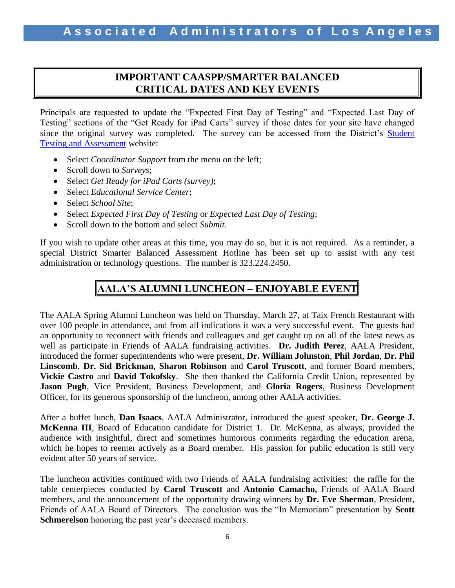### **IMPORTANT CAASPP/SMARTER BALANCED CRITICAL DATES AND KEY EVENTS**

Principals are requested to update the "Expected First Day of Testing" and "Expected Last Day of Testing" sections of the "Get Ready for iPad Carts" survey if those dates for your site have changed since the original survey was completed. The survey can be accessed from the District's [Student](http://notebook.lausd.net/portal/page?_pageid=33,125524&_dad=ptl&_schema=PTL_EP)  [Testing and Assessment](http://notebook.lausd.net/portal/page?_pageid=33,125524&_dad=ptl&_schema=PTL_EP) website:

- Select *Coordinator Support* from the menu on the left;
- Scroll down to *Surveys*;
- Select *Get Ready for iPad Carts (survey)*;
- Select *Educational Service Center*;
- Select *School Site*;
- Select *Expected First Day of Testing* or *Expected Last Day of Testing*;
- Scroll down to the bottom and select *Submit*.

If you wish to update other areas at this time, you may do so, but it is not required. As a reminder, a special District Smarter Balanced Assessment Hotline has been set up to assist with any test administration or technology questions. The number is 323.224.2450.

# **AALA'S ALUMNI LUNCHEON – ENJOYABLE EVENT**

The AALA Spring Alumni Luncheon was held on Thursday, March 27, at Taix French Restaurant with over 100 people in attendance, and from all indications it was a very successful event. The guests had an opportunity to reconnect with friends and colleagues and get caught up on all of the latest news as well as participate in Friends of AALA fundraising activities. **Dr. Judith Perez**, AALA President, introduced the former superintendents who were present, **Dr. William Johnston**, **Phil Jordan**, **Dr. Phil Linscomb**, **Dr. Sid Brickman, Sharon Robinson** and **Carol Truscott**, and former Board members, **Vickie Castro** and **David Tokofsky**. She then thanked the California Credit Union, represented by **Jason Pugh**, Vice President, Business Development, and **Gloria Rogers**, Business Development Officer, for its generous sponsorship of the luncheon, among other AALA activities.

After a buffet lunch, **Dan Isaacs**, AALA Administrator, introduced the guest speaker, **Dr. George J. McKenna III**, Board of Education candidate for District 1. Dr. McKenna, as always, provided the audience with insightful, direct and sometimes humorous comments regarding the education arena, which he hopes to reenter actively as a Board member. His passion for public education is still very evident after 50 years of service.

The luncheon activities continued with two Friends of AALA fundraising activities: the raffle for the table centerpieces conducted by **Carol Truscott** and **Antonio Camacho,** Friends of AALA Board members, and the announcement of the opportunity drawing winners by **Dr. Eve Sherman**, President, Friends of AALA Board of Directors. The conclusion was the "In Memoriam" presentation by **Scott Schmerelson** honoring the past year's deceased members.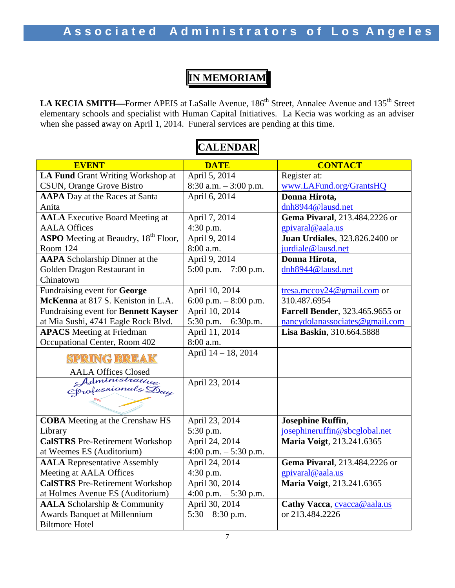# **IN MEMORIAM**

LA KECIA SMITH—Former APEIS at LaSalle Avenue, 186<sup>th</sup> Street, Annalee Avenue and 135<sup>th</sup> Street elementary schools and specialist with Human Capital Initiatives. La Kecia was working as an adviser when she passed away on April 1, 2014. Funeral services are pending at this time.

#### **EVENT CONTACT DATE DATE CONTACT LA Fund** Grant Writing Workshop at April 5, 2014 Register at: [www.LAFund.org/GrantsHQ](http://www.lafund.org/GrantsHQ) CSUN, Orange Grove Bistro 8:30 a.m. – 3:00 p.m. **AAPA** Day at the Races at Santa April 6, 2014 **Donna Hirota,**  [dnh8944@lausd.net](mailto:dnh8944@lausd.net) Anita **AALA** Executive Board Meeting at April 7, 2014 **Gema Pivaral**, 213.484.2226 or AALA Offices 4:30 p.m. [gpivaral@aala.us](mailto:gpivaral@aala.us) **ASPO** Meeting at Beaudry, 18<sup>th</sup> Floor, April 9, 2014 **Juan Urdiales**, 323.826.2400 or Room 124 8:00 a.m. [jurdiale@lausd.net](mailto:jurdiale@lausd.net) **AAPA** Scholarship Dinner at the April 9, 2014 **Donna Hirota**, Golden Dragon Restaurant in 5:00 p.m. – 7:00 p.m. [dnh8944@lausd.net](mailto:dnh8944@lausd.net) Chinatown Fundraising event for **George**  April 10, 2014 [tresa.mccoy24@gmail.com](mailto:tresa.mccoy24@gmail.com) or **McKenna** at 817 S. Keniston in L.A. 6:00 p.m. – 8:00 p.m. 310.487.6954 April 10, 2014 **Farrell Bender**, 323.465.9655 or Fundraising event for **Bennett Kayser** at Mia Sushi, 4741 Eagle Rock Blvd. 5:30 p.m. – 6:30p.m. [nancydolanassociates@gmail.com](mailto:nancydolanassociates@gmail.com) **APACS** Meeting at Friedman **Lisa Baskin**, 310.664.5888 April 11, 2014 Occupational Center, Room 402 8:00 a.m. April 14 – 18, 2014 **SPRING BREAK** AALA Offices Closed<br>Administrative April 23, 2014 Orofessionals Day  $\overline{a}$ April 23, 2014 **Josephine Ruffin**, **COBA** Meeting at the Crenshaw HS Library 5:30 p.m. [josephineruffin@sbcglobal.net](mailto:josephineruffin@sbcglobal.net) **CalSTRS** Pre-Retirement Workshop April 24, 2014 **Maria Voigt**, 213.241.6365 at Weemes ES (Auditorium) 4:00 p.m. – 5:30 p.m. **AALA** Representative Assembly April 24, 2014 **Gema Pivaral**, 213.484.2226 or Meeting at AALA Offices 4:30 p.m. [gpivaral@aala.us](mailto:gpivaral@aala.us) April 30, 2014 **CalSTRS** Pre-Retirement Workshop **Maria Voigt**, 213.241.6365 4:00 p.m. – 5:30 p.m. at Holmes Avenue ES (Auditorium) **AALA** Scholarship & Community April 30, 2014 **Cathy Vacca**, [cvacca@aala.us](mailto:cvacca@aala.us) Awards Banquet at Millennium 5:30 – 8:30 p.m. or 213.484.2226Biltmore Hotel

# **CALENDAR**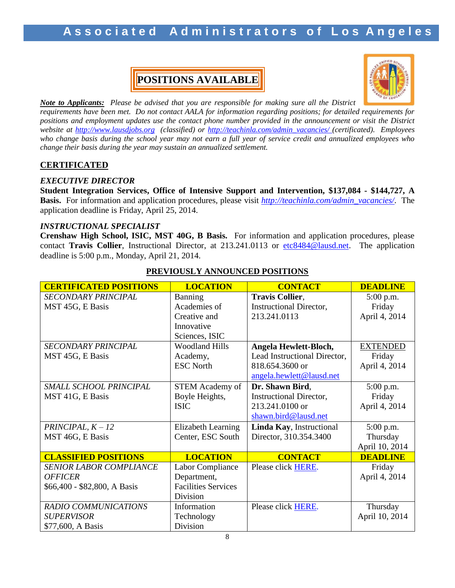# Associated Administrators of Los Angeles

# **POSITIONS AVAILABLE**



*Note to Applicants: Please be advised that you are responsible for making sure all the District requirements have been met. Do not contact AALA for information regarding positions; for detailed requirements for positions and employment updates use the contact phone number provided in the announcement or visit the District website at [http://www.lausdjobs.org](http://www.lausdjobs.org/) (classified) or [http://teachinla.com/admin\\_vacancies/](http://teachinla.com/admin_vacancies/) (certificated). Employees who change basis during the school year may not earn a full year of service credit and annualized employees who change their basis during the year may sustain an annualized settlement.*

### **CERTIFICATED**

#### *EXECUTIVE DIRECTOR*

**Student Integration Services, Office of Intensive Support and Intervention, \$137,084 - \$144,727, A Basis.** For information and application procedures, please visit *[http://teachinla.com/admin\\_vacancies/.](http://teachinla.com/admin_vacancies/)* The application deadline is Friday, April 25, 2014.

#### *INSTRUCTIONAL SPECIALIST*

**Crenshaw High School, ISIC, MST 40G, B Basis.** For information and application procedures, please contact **Travis Collier**, Instructional Director, at 213.241.0113 or [etc8484@lausd.net.](mailto:etc8484@lausd.net) The application deadline is 5:00 p.m., Monday, April 21, 2014.

| <b>CERTIFICATED POSITIONS</b>  | <b>LOCATION</b>            | <b>CONTACT</b>                 | <b>DEADLINE</b> |
|--------------------------------|----------------------------|--------------------------------|-----------------|
| <b>SECONDARY PRINCIPAL</b>     | <b>Banning</b>             | <b>Travis Collier,</b>         | 5:00 p.m.       |
| MST 45G, E Basis               | Academies of               | <b>Instructional Director,</b> | Friday          |
|                                | Creative and               | 213.241.0113                   | April 4, 2014   |
|                                | Innovative                 |                                |                 |
|                                | Sciences, ISIC             |                                |                 |
| <b>SECONDARY PRINCIPAL</b>     | <b>Woodland Hills</b>      | Angela Hewlett-Bloch,          | <b>EXTENDED</b> |
| MST 45G, E Basis               | Academy,                   | Lead Instructional Director,   | Friday          |
|                                | <b>ESC North</b>           | 818.654.3600 or                | April 4, 2014   |
|                                |                            | angela.hewlett@lausd.net       |                 |
| SMALL SCHOOL PRINCIPAL         | <b>STEM Academy of</b>     | Dr. Shawn Bird,                | $5:00$ p.m.     |
| MST 41G, E Basis               | Boyle Heights,             | <b>Instructional Director,</b> | Friday          |
|                                | <b>ISIC</b>                | 213.241.0100 or                | April 4, 2014   |
|                                |                            | shawn.bird@lausd.net           |                 |
| PRINCIPAL, $K - 12$            | Elizabeth Learning         | Linda Kay, Instructional       | 5:00 p.m.       |
| MST 46G, E Basis               | Center, ESC South          | Director, 310.354.3400         | Thursday        |
|                                |                            |                                | April 10, 2014  |
| <b>CLASSIFIED POSITIONS</b>    | <b>LOCATION</b>            | <b>CONTACT</b>                 | <b>DEADLINE</b> |
| <b>SENIOR LABOR COMPLIANCE</b> | Labor Compliance           | Please click HERE.             | Friday          |
| <b>OFFICER</b>                 | Department,                |                                | April 4, 2014   |
| \$66,400 - \$82,800, A Basis   | <b>Facilities Services</b> |                                |                 |
|                                | Division                   |                                |                 |
| RADIO COMMUNICATIONS           | Information                | Please click HERE.             | Thursday        |
| <b>SUPERVISOR</b>              | Technology                 |                                | April 10, 2014  |
| \$77,600, A Basis              | Division                   |                                |                 |

### **PREVIOUSLY ANNOUNCED POSITIONS**